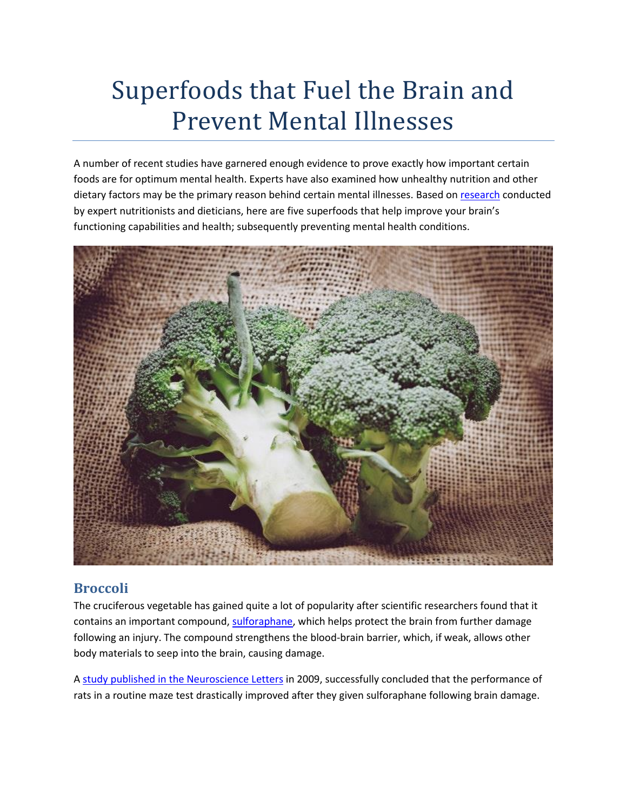# Superfoods that Fuel the Brain and Prevent Mental Illnesses

A number of recent studies have garnered enough evidence to prove exactly how important certain foods are for optimum mental health. Experts have also examined how unhealthy nutrition and other dietary factors may be the primary reason behind certain mental illnesses. Based o[n research](https://www.dietitians.ca/Downloads/Public/Nutrition-and-Mental-Health-complete-2012.aspx) conducted by expert nutritionists and dieticians, here are five superfoods that help improve your brain's functioning capabilities and health; subsequently preventing mental health conditions.



## **Broccoli**

The cruciferous vegetable has gained quite a lot of popularity after scientific researchers found that it contains an important compound, [sulforaphane,](https://www.ncbi.nlm.nih.gov/pubmed/20388854) which helps protect the brain from further damage following an injury. The compound strengthens the blood-brain barrier, which, if weak, allows other body materials to seep into the brain, causing damage.

A [study published in the Neuroscience Letters](https://www.ncbi.nlm.nih.gov/pmc/articles/PMC2700200/) in 2009, successfully concluded that the performance of rats in a routine maze test drastically improved after they given sulforaphane following brain damage.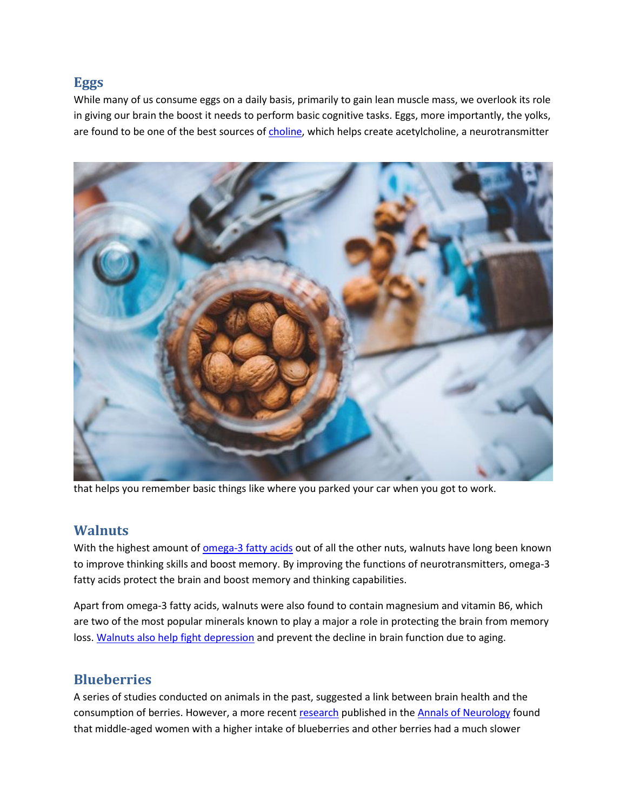### **Eggs**

While many of us consume eggs on a daily basis, primarily to gain lean muscle mass, we overlook its role in giving our brain the boost it needs to perform basic cognitive tasks. Eggs, more importantly, the yolks, are found to be one of the best sources o[f choline,](http://lpi.oregonstate.edu/mic/other-nutrients/choline) which helps create acetylcholine, a neurotransmitter



that helps you remember basic things like where you parked your car when you got to work.

#### **Walnuts**

With the highest amount of [omega-3 fatty acids](http://www.umm.edu/health/medical/altmed/supplement/omega3-fatty-acids) out of all the other nuts, walnuts have long been known to improve thinking skills and boost memory. By improving the functions of neurotransmitters, omega-3 fatty acids protect the brain and boost memory and thinking capabilities.

Apart from omega-3 fatty acids, walnuts were also found to contain magnesium and vitamin B6, which are two of the most popular minerals known to play a major a role in protecting the brain from memory loss. [Walnuts also help fight depression](https://www.ncbi.nlm.nih.gov/pubmed/22005283) and prevent the decline in brain function due to aging.

## **Blueberries**

A series of studies conducted on animals in the past, suggested a link between brain health and the consumption of berries. However, a more recent [research](http://onlinelibrary.wiley.com/doi/10.1002/ana.23594/abstract) published in the [Annals of Neurology](http://eu.wiley.com/WileyCDA/PressRelease/pressReleaseId-103275.html) found that middle-aged women with a higher intake of blueberries and other berries had a much slower